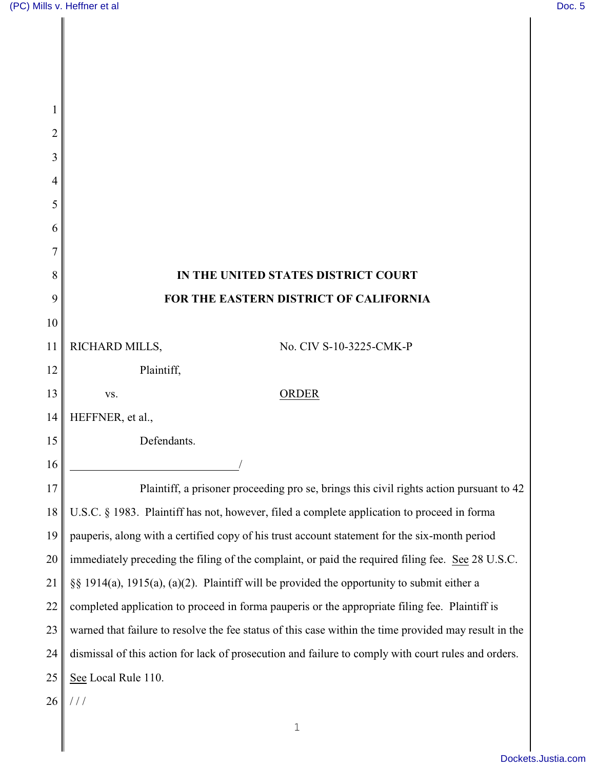| 1              |                                                                                                       |
|----------------|-------------------------------------------------------------------------------------------------------|
| $\overline{2}$ |                                                                                                       |
| 3              |                                                                                                       |
| 4              |                                                                                                       |
| 5              |                                                                                                       |
| 6              |                                                                                                       |
| 7              |                                                                                                       |
| 8              | IN THE UNITED STATES DISTRICT COURT                                                                   |
| 9              | FOR THE EASTERN DISTRICT OF CALIFORNIA                                                                |
| 10             |                                                                                                       |
| 11             | RICHARD MILLS,<br>No. CIV S-10-3225-CMK-P                                                             |
| 12             | Plaintiff,                                                                                            |
| 13             | ORDER<br>VS.                                                                                          |
| 14             | HEFFNER, et al.,                                                                                      |
| 15             | Defendants.                                                                                           |
| 16             |                                                                                                       |
| 17             | Plaintiff, a prisoner proceeding pro se, brings this civil rights action pursuant to 42               |
| 18             | U.S.C. § 1983. Plaintiff has not, however, filed a complete application to proceed in forma           |
| 19             | pauperis, along with a certified copy of his trust account statement for the six-month period         |
| 20             | immediately preceding the filing of the complaint, or paid the required filing fee. See 28 U.S.C.     |
| 21             | §§ 1914(a), 1915(a), (a)(2). Plaintiff will be provided the opportunity to submit either a            |
| 22             | completed application to proceed in forma pauperis or the appropriate filing fee. Plaintiff is        |
| 23             | warned that failure to resolve the fee status of this case within the time provided may result in the |
| 24             | dismissal of this action for lack of prosecution and failure to comply with court rules and orders.   |
| 25             | See Local Rule 110.                                                                                   |
| 26             | ///                                                                                                   |
|                | $\mathbf 1$                                                                                           |
|                |                                                                                                       |